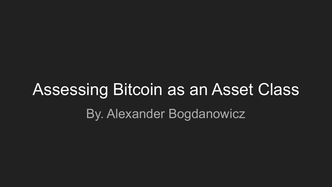# Assessing Bitcoin as an Asset Class By. Alexander Bogdanowicz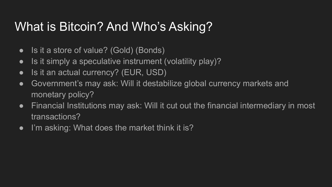### What is Bitcoin? And Who's Asking?

- Is it a store of value? (Gold) (Bonds)
- Is it simply a speculative instrument (volatility play)?
- Is it an actual currency? (EUR, USD)
- Government's may ask: Will it destabilize global currency markets and monetary policy?
- Financial Institutions may ask: Will it cut out the financial intermediary in most transactions?
- I'm asking: What does the market think it is?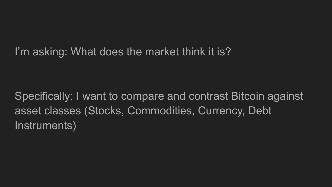#### I'm asking: What does the market think it is?

Specifically: I want to compare and contrast Bitcoin against asset classes (Stocks, Commodities, Currency, Debt Instruments)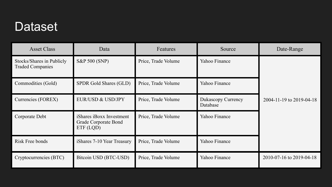#### Dataset

| <b>Asset Class</b>                                   | Data                                                          | Features            | Source                         | Date-Range               |
|------------------------------------------------------|---------------------------------------------------------------|---------------------|--------------------------------|--------------------------|
| Stocks/Shares in Publicly<br><b>Traded Companies</b> | S&P 500 (SNP)                                                 | Price, Trade Volume | Yahoo Finance                  |                          |
| Commodities (Gold)                                   | SPDR Gold Shares (GLD)                                        | Price, Trade Volume | Yahoo Finance                  |                          |
| Currencies (FOREX)                                   | EUR/USD & USD/JPY                                             | Price, Trade Volume | Dukascopy Currency<br>Database | 2004-11-19 to 2019-04-18 |
| Corporate Debt                                       | iShares iBoxx Investment<br>Grade Corporate Bond<br>ETF (LQD) | Price, Trade Volume | Yahoo Finance                  |                          |
| Risk Free bonds                                      | iShares 7-10 Year Treasury                                    | Price, Trade Volume | Yahoo Finance                  |                          |
| Cryptocurrencies (BTC)                               | Bitcoin USD (BTC-USD)                                         | Price, Trade Volume | Yahoo Finance                  | 2010-07-16 to 2019-04-18 |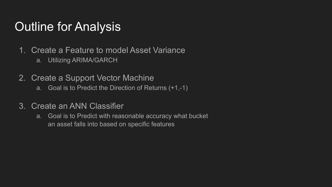#### Outline for Analysis

- 1. Create a Feature to model Asset Variance
	- a. Utilizing ARIMA/GARCH
- 2. Create a Support Vector Machine
	- a. Goal is to Predict the Direction of Returns (+1,-1)
- 3. Create an ANN Classifier
	- a. Goal is to Predict with reasonable accuracy what bucket an asset falls into based on specific features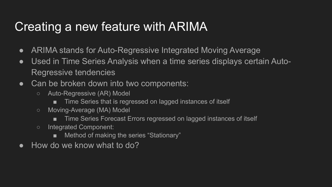### Creating a new feature with ARIMA

- ARIMA stands for Auto-Regressive Integrated Moving Average
- Used in Time Series Analysis when a time series displays certain Auto-Regressive tendencies
- Can be broken down into two components:
	- Auto-Regressive (AR) Model
		- Time Series that is regressed on lagged instances of itself
	- Moving-Average (MA) Model
		- Time Series Forecast Errors regressed on lagged instances of itself
	- Integrated Component:
		- Method of making the series "Stationary"
- $\bullet$  How do we know what to do?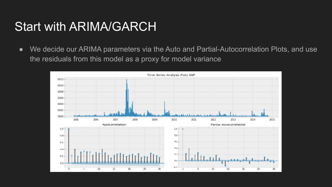#### Start with ARIMA/GARCH

● We decide our ARIMA parameters via the Auto and Partial-Autocorrelation Plots, and use the residuals from this model as a proxy for model variance

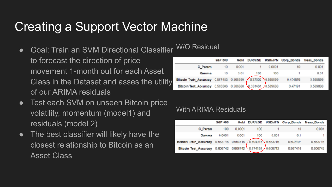### Creating a Support Vector Machine

● Goal: Train an SVM Directional Classifier to forecast the direction of price W/O Residual

movement 1-month out for each Asset Class in the Dataset and asses the utility of our ARIMA residuals

- Test each SVM on unseen Bitcoin price volatility, momentum (model1) and residuals (model 2)
- The best classifier will likely have the closest relationship to Bitcoin as an Asset Class

|                                                           | <b>285 200</b>  | Gold |     |        | EUR/USD USD/JPN Corp_Bonds | <b>Treas bonds</b> |
|-----------------------------------------------------------|-----------------|------|-----|--------|----------------------------|--------------------|
| C_Param                                                   | 10 <sup>1</sup> | 0001 |     | 0.0001 | 10                         | 0.001              |
| Camma                                                     | 10              | 0.01 | 100 | 100    |                            | 0.01               |
| Blooin Train_Accuracy 0.567483 0.565599 0.37302 0.535599  |                 |      |     |        | 0.474576                   | 0.565599           |
| Bitcoin Test_Accuracy 0.565506 0.586888 0.331461 0.539688 |                 |      |     |        | 0.47191                    | 0.589888           |

#### With ARIMA Residuals

|                                                           | <b>S&amp;P 500</b> |        |     |       | Gold EUR/USD USD/JPN Corp_Bonds Treas_Bonds |          |
|-----------------------------------------------------------|--------------------|--------|-----|-------|---------------------------------------------|----------|
| C_Param                                                   | $^{\circ}00$       | 0.0001 | 100 |       | 10                                          | 0.001    |
| Gamma                                                     | 0.0001             | C.OO1  | 100 | 0.001 | 0.1                                         | т.       |
| Bitcoin Train_Ascuracy 0.653/16 0563715 0.694915 0.663716 |                    |        |     |       | 0.502197                                    | 0.563/16 |
| Bitcoin Test_Accuracy 0.606742 0606742 0.674157 0.606742  |                    |        |     |       | 0.567416                                    | 0.506742 |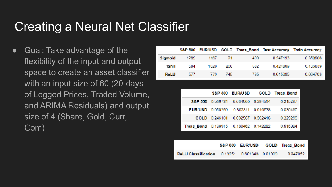#### Creating a Neural Net Classifier

Goal: Take advantage of the flexibility of the input and output space to create an asset classifier with an input size of 60 (20-days of Logged Prices, Traded Volume, and ARIMA Residuals) and output size of 4 (Share, Gold, Curr, Com)

|             |      |       |     |      |          | S&P 500 EUR/USD GOLD Treas Bond Test Accuracy Train Accuracy |
|-------------|------|-------|-----|------|----------|--------------------------------------------------------------|
| Sigmoid     | 1289 | 1187  | -21 | 409. | 0.347193 | 0.350906                                                     |
| TanH        | 584  | 15.70 | 200 | 582. | 0.424809 | 0.436839                                                     |
| <b>RoLU</b> | 577. | -779. | 745 | 785. | 0.615385 | 0.664703                                                     |

|                                       |                                    | S&P 500 EUR/USD GOLD Treas_Bond |
|---------------------------------------|------------------------------------|---------------------------------|
| <b>S&amp;P 500</b>                    | 0.566724 0.034660 0.284564         | 0.245287                        |
|                                       | EUR/USD 0.050260 0.802311 0.010738 | 0.030490                        |
|                                       | GOLD 0.246101 0.002567 0.562416    | 0.220299                        |
| Treas_Bond 0.138915 0.160462 0.142282 |                                    | 0.515924                        |

|  |  | S&P 500 EUR/USD GOLD Treas Bond |
|--|--|---------------------------------|
|  |  | 0.247052                        |